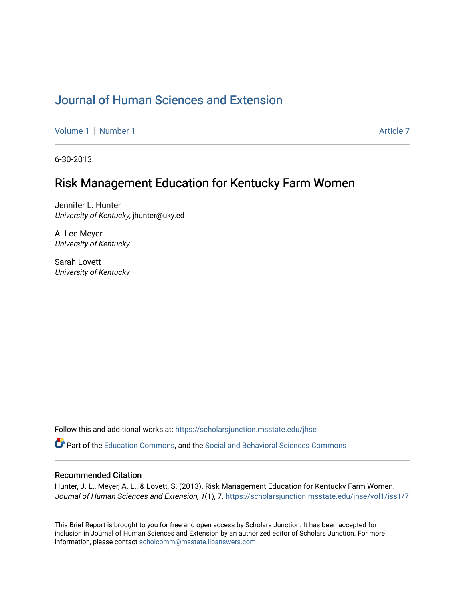# [Journal of Human Sciences and Extension](https://scholarsjunction.msstate.edu/jhse)

[Volume 1](https://scholarsjunction.msstate.edu/jhse/vol1) | [Number 1](https://scholarsjunction.msstate.edu/jhse/vol1/iss1) Article 7

6-30-2013

## Risk Management Education for Kentucky Farm Women

Jennifer L. Hunter University of Kentucky, jhunter@uky.ed

A. Lee Meyer University of Kentucky

Sarah Lovett University of Kentucky

Follow this and additional works at: [https://scholarsjunction.msstate.edu/jhse](https://scholarsjunction.msstate.edu/jhse?utm_source=scholarsjunction.msstate.edu%2Fjhse%2Fvol1%2Fiss1%2F7&utm_medium=PDF&utm_campaign=PDFCoverPages)

Part of the [Education Commons](http://network.bepress.com/hgg/discipline/784?utm_source=scholarsjunction.msstate.edu%2Fjhse%2Fvol1%2Fiss1%2F7&utm_medium=PDF&utm_campaign=PDFCoverPages), and the [Social and Behavioral Sciences Commons](http://network.bepress.com/hgg/discipline/316?utm_source=scholarsjunction.msstate.edu%2Fjhse%2Fvol1%2Fiss1%2F7&utm_medium=PDF&utm_campaign=PDFCoverPages) 

#### Recommended Citation

Hunter, J. L., Meyer, A. L., & Lovett, S. (2013). Risk Management Education for Kentucky Farm Women. Journal of Human Sciences and Extension, 1(1), 7. https://scholarsjunction.msstate.edu/jhse/vol1/iss1/7

This Brief Report is brought to you for free and open access by Scholars Junction. It has been accepted for inclusion in Journal of Human Sciences and Extension by an authorized editor of Scholars Junction. For more information, please contact [scholcomm@msstate.libanswers.com](mailto:scholcomm@msstate.libanswers.com).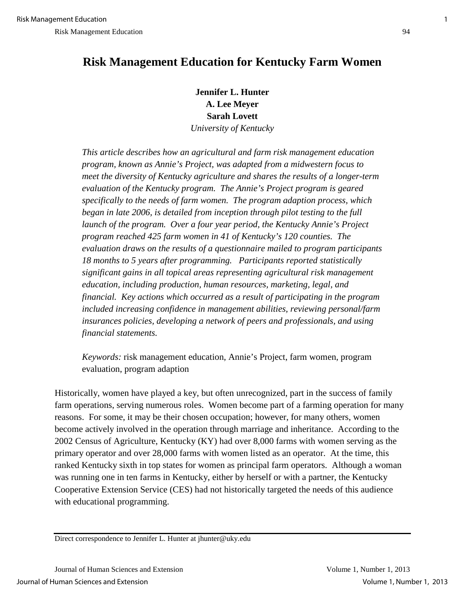# **Risk Management Education for Kentucky Farm Women**

**Jennifer L. Hunter A. Lee Meyer Sarah Lovett**  *University of Kentucky*

*This article describes how an agricultural and farm risk management education program, known as Annie's Project, was adapted from a midwestern focus to meet the diversity of Kentucky agriculture and shares the results of a longer-term evaluation of the Kentucky program. The Annie's Project program is geared specifically to the needs of farm women. The program adaption process, which began in late 2006, is detailed from inception through pilot testing to the full launch of the program. Over a four year period, the Kentucky Annie's Project program reached 425 farm women in 41 of Kentucky's 120 counties. The evaluation draws on the results of a questionnaire mailed to program participants 18 months to 5 years after programming. Participants reported statistically significant gains in all topical areas representing agricultural risk management education, including production, human resources, marketing, legal, and financial. Key actions which occurred as a result of participating in the program included increasing confidence in management abilities, reviewing personal/farm insurances policies, developing a network of peers and professionals, and using financial statements.* 

*Keywords:* risk management education, Annie's Project, farm women, program evaluation, program adaption

Historically, women have played a key, but often unrecognized, part in the success of family farm operations, serving numerous roles. Women become part of a farming operation for many reasons. For some, it may be their chosen occupation; however, for many others, women become actively involved in the operation through marriage and inheritance. According to the 2002 Census of Agriculture, Kentucky (KY) had over 8,000 farms with women serving as the primary operator and over 28,000 farms with women listed as an operator. At the time, this ranked Kentucky sixth in top states for women as principal farm operators. Although a woman was running one in ten farms in Kentucky, either by herself or with a partner, the Kentucky Cooperative Extension Service (CES) had not historically targeted the needs of this audience with educational programming.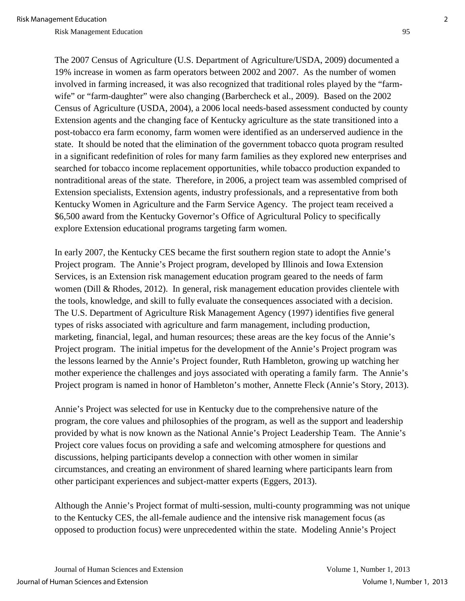The 2007 Census of Agriculture (U.S. Department of Agriculture/USDA, 2009) documented a 19% increase in women as farm operators between 2002 and 2007. As the number of women involved in farming increased, it was also recognized that traditional roles played by the "farmwife" or "farm-daughter" were also changing (Barbercheck et al., 2009). Based on the 2002 Census of Agriculture (USDA, 2004), a 2006 local needs-based assessment conducted by county Extension agents and the changing face of Kentucky agriculture as the state transitioned into a post-tobacco era farm economy, farm women were identified as an underserved audience in the state. It should be noted that the elimination of the government tobacco quota program resulted in a significant redefinition of roles for many farm families as they explored new enterprises and searched for tobacco income replacement opportunities, while tobacco production expanded to nontraditional areas of the state. Therefore, in 2006, a project team was assembled comprised of Extension specialists, Extension agents, industry professionals, and a representative from both Kentucky Women in Agriculture and the Farm Service Agency. The project team received a \$6,500 award from the Kentucky Governor's Office of Agricultural Policy to specifically explore Extension educational programs targeting farm women.

In early 2007, the Kentucky CES became the first southern region state to adopt the Annie's Project program. The Annie's Project program, developed by Illinois and Iowa Extension Services, is an Extension risk management education program geared to the needs of farm women (Dill & Rhodes, 2012). In general, risk management education provides clientele with the tools, knowledge, and skill to fully evaluate the consequences associated with a decision. The U.S. Department of Agriculture Risk Management Agency (1997) identifies five general types of risks associated with agriculture and farm management, including production, marketing, financial, legal, and human resources; these areas are the key focus of the Annie's Project program. The initial impetus for the development of the Annie's Project program was the lessons learned by the Annie's Project founder, Ruth Hambleton, growing up watching her mother experience the challenges and joys associated with operating a family farm. The Annie's Project program is named in honor of Hambleton's mother, Annette Fleck (Annie's Story, 2013).

Annie's Project was selected for use in Kentucky due to the comprehensive nature of the program, the core values and philosophies of the program, as well as the support and leadership provided by what is now known as the National Annie's Project Leadership Team. The Annie's Project core values focus on providing a safe and welcoming atmosphere for questions and discussions, helping participants develop a connection with other women in similar circumstances, and creating an environment of shared learning where participants learn from other participant experiences and subject-matter experts (Eggers, 2013).

Although the Annie's Project format of multi-session, multi-county programming was not unique to the Kentucky CES, the all-female audience and the intensive risk management focus (as opposed to production focus) were unprecedented within the state. Modeling Annie's Project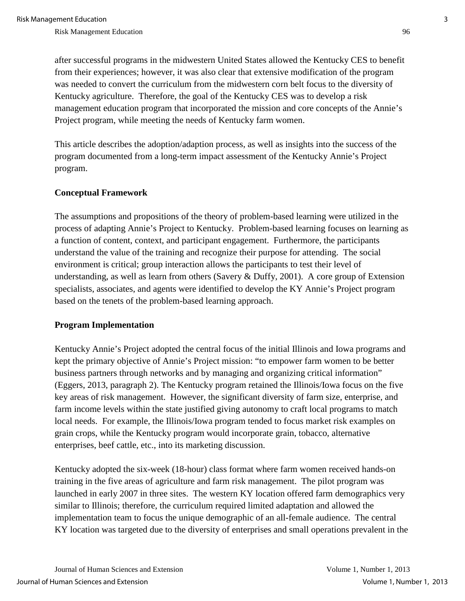after successful programs in the midwestern United States allowed the Kentucky CES to benefit from their experiences; however, it was also clear that extensive modification of the program was needed to convert the curriculum from the midwestern corn belt focus to the diversity of Kentucky agriculture. Therefore, the goal of the Kentucky CES was to develop a risk management education program that incorporated the mission and core concepts of the Annie's Project program, while meeting the needs of Kentucky farm women.

This article describes the adoption/adaption process, as well as insights into the success of the program documented from a long-term impact assessment of the Kentucky Annie's Project program.

### **Conceptual Framework**

The assumptions and propositions of the theory of problem-based learning were utilized in the process of adapting Annie's Project to Kentucky. Problem-based learning focuses on learning as a function of content, context, and participant engagement. Furthermore, the participants understand the value of the training and recognize their purpose for attending. The social environment is critical; group interaction allows the participants to test their level of understanding, as well as learn from others (Savery & Duffy, 2001). A core group of Extension specialists, associates, and agents were identified to develop the KY Annie's Project program based on the tenets of the problem-based learning approach.

#### **Program Implementation**

Kentucky Annie's Project adopted the central focus of the initial Illinois and Iowa programs and kept the primary objective of Annie's Project mission: "to empower farm women to be better business partners through networks and by managing and organizing critical information" (Eggers, 2013, paragraph 2). The Kentucky program retained the Illinois/Iowa focus on the five key areas of risk management. However, the significant diversity of farm size, enterprise, and farm income levels within the state justified giving autonomy to craft local programs to match local needs. For example, the Illinois/Iowa program tended to focus market risk examples on grain crops, while the Kentucky program would incorporate grain, tobacco, alternative enterprises, beef cattle, etc., into its marketing discussion.

Kentucky adopted the six-week (18-hour) class format where farm women received hands-on training in the five areas of agriculture and farm risk management. The pilot program was launched in early 2007 in three sites. The western KY location offered farm demographics very similar to Illinois; therefore, the curriculum required limited adaptation and allowed the implementation team to focus the unique demographic of an all-female audience. The central KY location was targeted due to the diversity of enterprises and small operations prevalent in the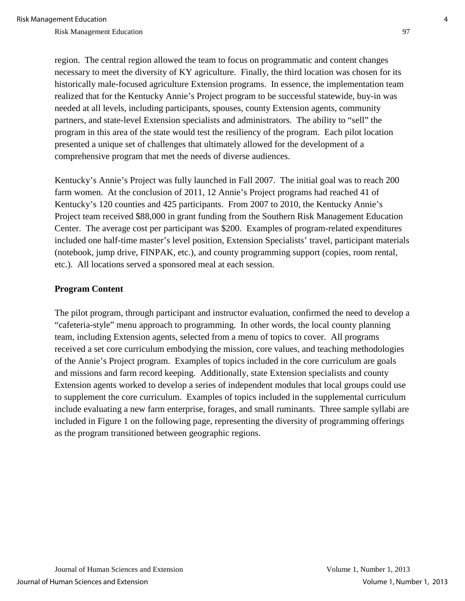Risk Management Education 600 and 100 and 100 and 100 and 100 and 100 and 100 and 100 and 100 and 100 and 100 and 100 and 100 and 100 and 100 and 100 and 100 and 100 and 100 and 100 and 100 and 100 and 100 and 100 and 100

region. The central region allowed the team to focus on programmatic and content changes necessary to meet the diversity of KY agriculture. Finally, the third location was chosen for its historically male-focused agriculture Extension programs. In essence, the implementation team realized that for the Kentucky Annie's Project program to be successful statewide, buy-in was needed at all levels, including participants, spouses, county Extension agents, community partners, and state-level Extension specialists and administrators. The ability to "sell" the program in this area of the state would test the resiliency of the program. Each pilot location presented a unique set of challenges that ultimately allowed for the development of a comprehensive program that met the needs of diverse audiences.

Kentucky's Annie's Project was fully launched in Fall 2007. The initial goal was to reach 200 farm women. At the conclusion of 2011, 12 Annie's Project programs had reached 41 of Kentucky's 120 counties and 425 participants. From 2007 to 2010, the Kentucky Annie's Project team received \$88,000 in grant funding from the Southern Risk Management Education Center. The average cost per participant was \$200. Examples of program-related expenditures included one half-time master's level position, Extension Specialists' travel, participant materials (notebook, jump drive, FINPAK, etc.), and county programming support (copies, room rental, etc.). All locations served a sponsored meal at each session.

#### **Program Content**

The pilot program, through participant and instructor evaluation, confirmed the need to develop a "cafeteria-style" menu approach to programming. In other words, the local county planning team, including Extension agents, selected from a menu of topics to cover. All programs received a set core curriculum embodying the mission, core values, and teaching methodologies of the Annie's Project program. Examples of topics included in the core curriculum are goals and missions and farm record keeping. Additionally, state Extension specialists and county Extension agents worked to develop a series of independent modules that local groups could use to supplement the core curriculum. Examples of topics included in the supplemental curriculum include evaluating a new farm enterprise, forages, and small ruminants. Three sample syllabi are included in Figure 1 on the following page, representing the diversity of programming offerings as the program transitioned between geographic regions.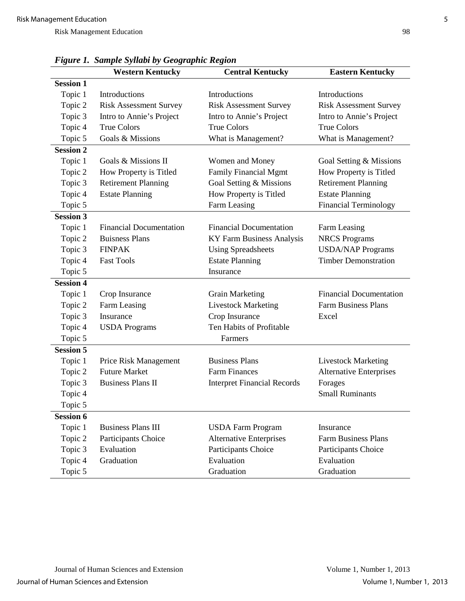|                  | <b>Eastern Kentucky</b>        |                                    |                                |
|------------------|--------------------------------|------------------------------------|--------------------------------|
| <b>Session 1</b> | <b>Western Kentucky</b>        | <b>Central Kentucky</b>            |                                |
| Topic 1          | Introductions                  | Introductions                      | Introductions                  |
| Topic 2          | <b>Risk Assessment Survey</b>  | <b>Risk Assessment Survey</b>      | <b>Risk Assessment Survey</b>  |
| Topic 3          | Intro to Annie's Project       | Intro to Annie's Project           | Intro to Annie's Project       |
| Topic 4          | <b>True Colors</b>             | <b>True Colors</b>                 | <b>True Colors</b>             |
| Topic 5          | Goals & Missions               | What is Management?                | What is Management?            |
| <b>Session 2</b> |                                |                                    |                                |
| Topic 1          | Goals & Missions II            | Women and Money                    | Goal Setting & Missions        |
| Topic 2          | How Property is Titled         | <b>Family Financial Mgmt</b>       | How Property is Titled         |
| Topic 3          | <b>Retirement Planning</b>     | Goal Setting & Missions            | <b>Retirement Planning</b>     |
| Topic 4          | <b>Estate Planning</b>         | How Property is Titled             | <b>Estate Planning</b>         |
| Topic 5          |                                | Farm Leasing                       | <b>Financial Terminology</b>   |
| <b>Session 3</b> |                                |                                    |                                |
| Topic 1          | <b>Financial Documentation</b> | <b>Financial Documentation</b>     | Farm Leasing                   |
| Topic 2          | <b>Buisness Plans</b>          | KY Farm Business Analysis          | <b>NRCS Programs</b>           |
| Topic 3          | <b>FINPAK</b>                  | <b>Using Spreadsheets</b>          | <b>USDA/NAP Programs</b>       |
| Topic 4          | <b>Fast Tools</b>              | <b>Estate Planning</b>             | <b>Timber Demonstration</b>    |
| Topic 5          |                                | Insurance                          |                                |
| <b>Session 4</b> |                                |                                    |                                |
| Topic 1          | Crop Insurance                 | <b>Grain Marketing</b>             | <b>Financial Documentation</b> |
| Topic 2          | Farm Leasing                   | <b>Livestock Marketing</b>         | <b>Farm Business Plans</b>     |
| Topic 3          | Insurance                      | Crop Insurance                     | Excel                          |
| Topic 4          | <b>USDA</b> Programs           | Ten Habits of Profitable           |                                |
| Topic 5          |                                | Farmers                            |                                |
| <b>Session 5</b> |                                |                                    |                                |
| Topic 1          | Price Risk Management          | <b>Business Plans</b>              | <b>Livestock Marketing</b>     |
| Topic 2          | <b>Future Market</b>           | <b>Farm Finances</b>               | <b>Alternative Enterprises</b> |
| Topic 3          | <b>Business Plans II</b>       | <b>Interpret Financial Records</b> | Forages                        |
| Topic 4          |                                |                                    | <b>Small Ruminants</b>         |
| Topic 5          |                                |                                    |                                |
| <b>Session 6</b> |                                |                                    |                                |
| Topic 1          | <b>Business Plans III</b>      | <b>USDA Farm Program</b>           | Insurance                      |
| Topic 2          | Participants Choice            | <b>Alternative Enterprises</b>     | <b>Farm Business Plans</b>     |
| Topic 3          | Evaluation                     | Participants Choice                | Participants Choice            |
| Topic 4          | Graduation                     | Evaluation                         | Evaluation                     |
| Topic 5          |                                | Graduation                         | Graduation                     |

*Figure 1. Sample Syllabi by Geographic Region*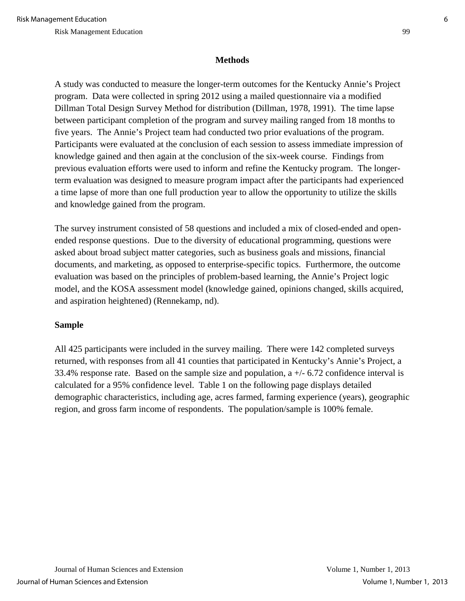### **Methods**

A study was conducted to measure the longer-term outcomes for the Kentucky Annie's Project program. Data were collected in spring 2012 using a mailed questionnaire via a modified Dillman Total Design Survey Method for distribution (Dillman, 1978, 1991). The time lapse between participant completion of the program and survey mailing ranged from 18 months to five years. The Annie's Project team had conducted two prior evaluations of the program. Participants were evaluated at the conclusion of each session to assess immediate impression of knowledge gained and then again at the conclusion of the six-week course. Findings from previous evaluation efforts were used to inform and refine the Kentucky program. The longerterm evaluation was designed to measure program impact after the participants had experienced a time lapse of more than one full production year to allow the opportunity to utilize the skills and knowledge gained from the program.

The survey instrument consisted of 58 questions and included a mix of closed-ended and openended response questions. Due to the diversity of educational programming, questions were asked about broad subject matter categories, such as business goals and missions, financial documents, and marketing, as opposed to enterprise-specific topics. Furthermore, the outcome evaluation was based on the principles of problem-based learning, the Annie's Project logic model, and the KOSA assessment model (knowledge gained, opinions changed, skills acquired, and aspiration heightened) (Rennekamp, nd).

## **Sample**

All 425 participants were included in the survey mailing. There were 142 completed surveys returned, with responses from all 41 counties that participated in Kentucky's Annie's Project, a 33.4% response rate. Based on the sample size and population,  $a +/- 6.72$  confidence interval is calculated for a 95% confidence level. Table 1 on the following page displays detailed demographic characteristics, including age, acres farmed, farming experience (years), geographic region, and gross farm income of respondents. The population/sample is 100% female.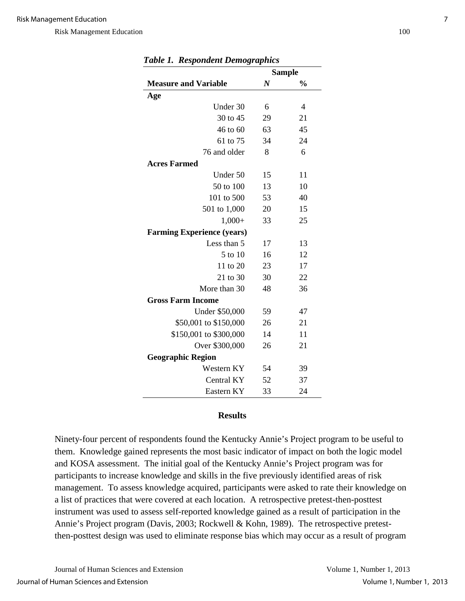|                                   |                  | <b>Sample</b> |
|-----------------------------------|------------------|---------------|
| <b>Measure and Variable</b>       | $\boldsymbol{N}$ | $\frac{0}{0}$ |
| Age                               |                  |               |
| Under 30                          | 6                | 4             |
| 30 to 45                          | 29               | 21            |
| 46 to 60                          | 63               | 45            |
| 61 to 75                          | 34               | 24            |
| 76 and older                      | 8                | 6             |
| <b>Acres Farmed</b>               |                  |               |
| Under 50                          | 15               | 11            |
| 50 to 100                         | 13               | 10            |
| 101 to 500                        | 53               | 40            |
| 501 to 1,000                      | 20               | 15            |
| $1,000+$                          | 33               | 25            |
| <b>Farming Experience (years)</b> |                  |               |
| Less than 5                       | 17               | 13            |
| 5 to 10                           | 16               | 12            |
| 11 to 20                          | 23               | 17            |
| 21 to 30                          | 30               | 22            |
| More than 30                      | 48               | 36            |
| <b>Gross Farm Income</b>          |                  |               |
| <b>Under \$50,000</b>             | 59               | 47            |
| \$50,001 to \$150,000             | 26               | 21            |
| \$150,001 to \$300,000            | 14               | 11            |
| Over \$300,000                    | 26               | 21            |
| <b>Geographic Region</b>          |                  |               |
| Western KY                        | 54               | 39            |
| Central KY                        | 52               | 37            |
| Eastern KY                        | 33               | 24            |

#### **Results**

Ninety-four percent of respondents found the Kentucky Annie's Project program to be useful to them. Knowledge gained represents the most basic indicator of impact on both the logic model and KOSA assessment. The initial goal of the Kentucky Annie's Project program was for participants to increase knowledge and skills in the five previously identified areas of risk management. To assess knowledge acquired, participants were asked to rate their knowledge on a list of practices that were covered at each location. A retrospective pretest-then-posttest instrument was used to assess self-reported knowledge gained as a result of participation in the Annie's Project program (Davis, 2003; Rockwell & Kohn, 1989). The retrospective pretestthen-posttest design was used to eliminate response bias which may occur as a result of program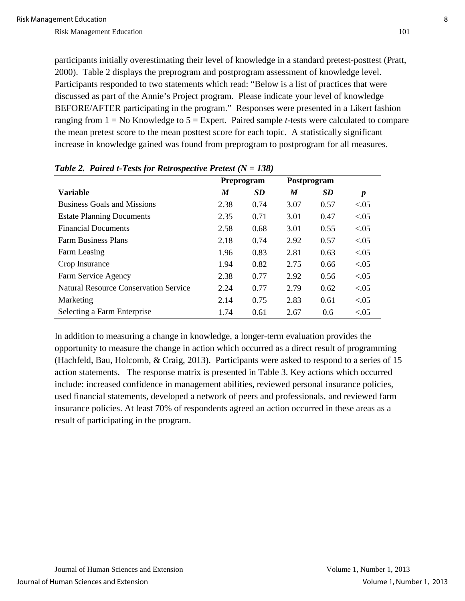participants initially overestimating their level of knowledge in a standard pretest-posttest (Pratt, 2000). Table 2 displays the preprogram and postprogram assessment of knowledge level. Participants responded to two statements which read: "Below is a list of practices that were discussed as part of the Annie's Project program. Please indicate your level of knowledge BEFORE/AFTER participating in the program." Responses were presented in a Likert fashion ranging from 1 = No Knowledge to 5 = Expert. Paired sample *t*-tests were calculated to compare the mean pretest score to the mean posttest score for each topic. A statistically significant increase in knowledge gained was found from preprogram to postprogram for all measures.

|                                              | Preprogram |           | Postprogram |           |                  |
|----------------------------------------------|------------|-----------|-------------|-----------|------------------|
| <b>Variable</b>                              | M          | <b>SD</b> | M           | <b>SD</b> | $\boldsymbol{p}$ |
| <b>Business Goals and Missions</b>           | 2.38       | 0.74      | 3.07        | 0.57      | < 0.05           |
| <b>Estate Planning Documents</b>             | 2.35       | 0.71      | 3.01        | 0.47      | < 0.05           |
| <b>Financial Documents</b>                   | 2.58       | 0.68      | 3.01        | 0.55      | < 0.05           |
| <b>Farm Business Plans</b>                   | 2.18       | 0.74      | 2.92        | 0.57      | < 0.05           |
| Farm Leasing                                 | 1.96       | 0.83      | 2.81        | 0.63      | < 0.05           |
| Crop Insurance                               | 1.94       | 0.82      | 2.75        | 0.66      | < 0.05           |
| Farm Service Agency                          | 2.38       | 0.77      | 2.92        | 0.56      | < 0.05           |
| <b>Natural Resource Conservation Service</b> | 2.24       | 0.77      | 2.79        | 0.62      | < 0.05           |
| Marketing                                    | 2.14       | 0.75      | 2.83        | 0.61      | ${<}05$          |
| Selecting a Farm Enterprise                  | 1.74       | 0.61      | 2.67        | 0.6       | ${<}0.05$        |

|  |  |  | Table 2. Paired t-Tests for Retrospective Pretest $(N = 138)$ |
|--|--|--|---------------------------------------------------------------|
|--|--|--|---------------------------------------------------------------|

In addition to measuring a change in knowledge, a longer-term evaluation provides the opportunity to measure the change in action which occurred as a direct result of programming (Hachfeld, Bau, Holcomb, & Craig, 2013). Participants were asked to respond to a series of 15 action statements. The response matrix is presented in Table 3. Key actions which occurred include: increased confidence in management abilities, reviewed personal insurance policies, used financial statements, developed a network of peers and professionals, and reviewed farm insurance policies. At least 70% of respondents agreed an action occurred in these areas as a result of participating in the program.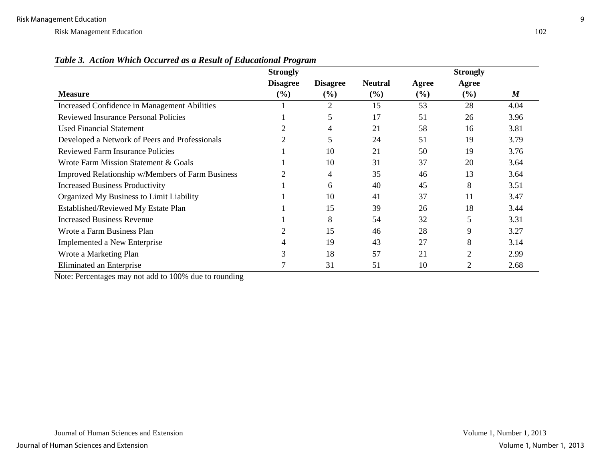| $\sim$                                           | <b>Strongly</b> |                 |                |        | <b>Strongly</b> |                  |
|--------------------------------------------------|-----------------|-----------------|----------------|--------|-----------------|------------------|
|                                                  | <b>Disagree</b> | <b>Disagree</b> | <b>Neutral</b> | Agree  | Agree           |                  |
| <b>Measure</b>                                   | $(\%)$          | (%)             | (%)            | $(\%)$ | $(\%)$          | $\boldsymbol{M}$ |
| Increased Confidence in Management Abilities     |                 | $\overline{2}$  | 15             | 53     | 28              | 4.04             |
| <b>Reviewed Insurance Personal Policies</b>      |                 | 5               | 17             | 51     | 26              | 3.96             |
| <b>Used Financial Statement</b>                  |                 | 4               | 21             | 58     | 16              | 3.81             |
| Developed a Network of Peers and Professionals   |                 | 5               | 24             | 51     | 19              | 3.79             |
| <b>Reviewed Farm Insurance Policies</b>          |                 | 10              | 21             | 50     | 19              | 3.76             |
| Wrote Farm Mission Statement & Goals             |                 | 10              | 31             | 37     | 20              | 3.64             |
| Improved Relationship w/Members of Farm Business |                 | 4               | 35             | 46     | 13              | 3.64             |
| <b>Increased Business Productivity</b>           |                 | 6               | 40             | 45     | 8               | 3.51             |
| Organized My Business to Limit Liability         |                 | 10              | 41             | 37     | 11              | 3.47             |
| Established/Reviewed My Estate Plan              |                 | 15              | 39             | 26     | 18              | 3.44             |
| <b>Increased Business Revenue</b>                |                 | 8               | 54             | 32     | 5               | 3.31             |
| Wrote a Farm Business Plan                       | 2               | 15              | 46             | 28     | 9               | 3.27             |
| Implemented a New Enterprise                     | 4               | 19              | 43             | 27     | 8               | 3.14             |
| Wrote a Marketing Plan                           | 3               | 18              | 57             | 21     | 2               | 2.99             |
| Eliminated an Enterprise                         |                 | 31              | 51             | 10     | 2               | 2.68             |

*Table 3. Action Which Occurred as a Result of Educational Program* 

Note: Percentages may not add to 100% due to rounding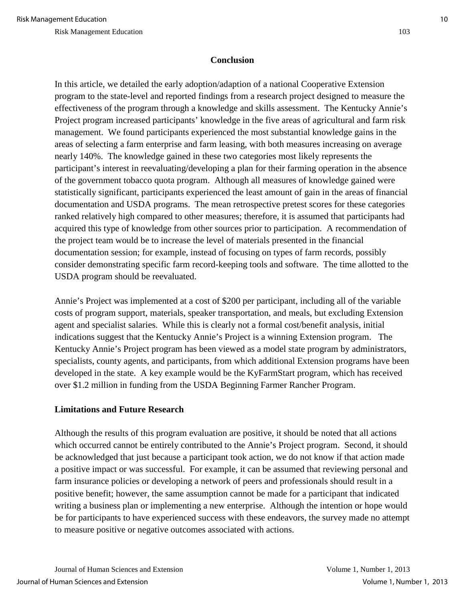### **Conclusion**

In this article, we detailed the early adoption/adaption of a national Cooperative Extension program to the state-level and reported findings from a research project designed to measure the effectiveness of the program through a knowledge and skills assessment. The Kentucky Annie's Project program increased participants' knowledge in the five areas of agricultural and farm risk management. We found participants experienced the most substantial knowledge gains in the areas of selecting a farm enterprise and farm leasing, with both measures increasing on average nearly 140%. The knowledge gained in these two categories most likely represents the participant's interest in reevaluating/developing a plan for their farming operation in the absence of the government tobacco quota program. Although all measures of knowledge gained were statistically significant, participants experienced the least amount of gain in the areas of financial documentation and USDA programs. The mean retrospective pretest scores for these categories ranked relatively high compared to other measures; therefore, it is assumed that participants had acquired this type of knowledge from other sources prior to participation. A recommendation of the project team would be to increase the level of materials presented in the financial documentation session; for example, instead of focusing on types of farm records, possibly consider demonstrating specific farm record-keeping tools and software. The time allotted to the USDA program should be reevaluated.

Annie's Project was implemented at a cost of \$200 per participant, including all of the variable costs of program support, materials, speaker transportation, and meals, but excluding Extension agent and specialist salaries. While this is clearly not a formal cost/benefit analysis, initial indications suggest that the Kentucky Annie's Project is a winning Extension program. The Kentucky Annie's Project program has been viewed as a model state program by administrators, specialists, county agents, and participants, from which additional Extension programs have been developed in the state. A key example would be the KyFarmStart program, which has received over \$1.2 million in funding from the USDA Beginning Farmer Rancher Program.

## **Limitations and Future Research**

Although the results of this program evaluation are positive, it should be noted that all actions which occurred cannot be entirely contributed to the Annie's Project program. Second, it should be acknowledged that just because a participant took action, we do not know if that action made a positive impact or was successful. For example, it can be assumed that reviewing personal and farm insurance policies or developing a network of peers and professionals should result in a positive benefit; however, the same assumption cannot be made for a participant that indicated writing a business plan or implementing a new enterprise. Although the intention or hope would be for participants to have experienced success with these endeavors, the survey made no attempt to measure positive or negative outcomes associated with actions.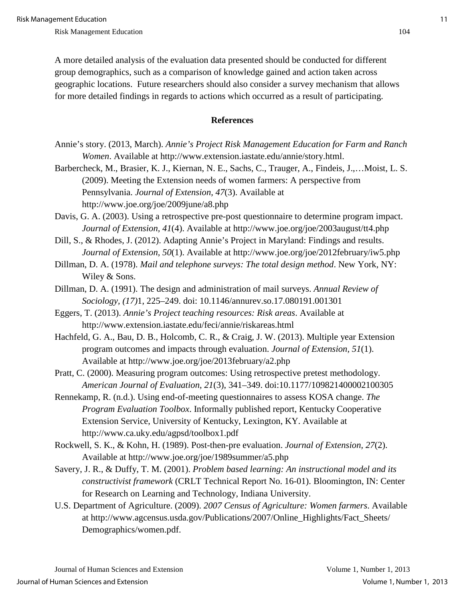A more detailed analysis of the evaluation data presented should be conducted for different group demographics, such as a comparison of knowledge gained and action taken across geographic locations. Future researchers should also consider a survey mechanism that allows for more detailed findings in regards to actions which occurred as a result of participating.

#### **References**

- Annie's story. (2013, March). *Annie's Project Risk Management Education for Farm and Ranch Women*. Available at http://www.extension.iastate.edu/annie/story.html.
- Barbercheck, M., Brasier, K. J., Kiernan, N. E., Sachs, C., Trauger, A., Findeis, J.,…Moist, L. S. (2009). Meeting the Extension needs of women farmers: A perspective from Pennsylvania. *Journal of Extension, 47*(3). Available at http://www.joe.org/joe/2009june/a8.php
- Davis, G. A. (2003). Using a retrospective pre-post questionnaire to determine program impact. *Journal of Extension, 41*(4). Available at http://www.joe.org/joe/2003august/tt4.php
- Dill, S., & Rhodes, J. (2012). Adapting Annie's Project in Maryland: Findings and results. *Journal of Extension, 50*(1). Available at http://www.joe.org/joe/2012february/iw5.php
- Dillman, D. A. (1978). *Mail and telephone surveys: The total design method*. New York, NY: Wiley & Sons.
- Dillman, D. A. (1991). The design and administration of mail surveys. *Annual Review of Sociology, (17)*1, 225–249. doi: 10.1146/annurev.so.17.080191.001301
- Eggers, T. (2013). *Annie's Project teaching resources: Risk areas*. Available at http://www.extension.iastate.edu/feci/annie/riskareas.html
- Hachfeld, G. A., Bau, D. B., Holcomb, C. R., & Craig, J. W. (2013). Multiple year Extension program outcomes and impacts through evaluation. *Journal of Extension, 51*(1). Available at http://www.joe.org/joe/2013february/a2.php
- Pratt, C. (2000). Measuring program outcomes: Using retrospective pretest methodology. *American Journal of Evaluation*, *21*(3), 341–349. doi:10.1177/109821400002100305
- Rennekamp, R. (n.d.). Using end-of-meeting questionnaires to assess KOSA change. *The Program Evaluation Toolbox*. Informally published report, Kentucky Cooperative Extension Service, University of Kentucky, Lexington, KY. Available at http://www.ca.uky.edu/agpsd/toolbox1.pdf
- Rockwell, S. K., & Kohn, H. (1989). Post-then-pre evaluation. *Journal of Extension, 27*(2). Available at http://www.joe.org/joe/1989summer/a5.php
- Savery, J. R., & Duffy, T. M. (2001). *Problem based learning: An instructional model and its constructivist framework* (CRLT Technical Report No. 16-01). Bloomington, IN: Center for Research on Learning and Technology, Indiana University.
- U.S. Department of Agriculture. (2009). *2007 Census of Agriculture: Women farmers*. Available at http://www.agcensus.usda.gov/Publications/2007/Online\_Highlights/Fact\_Sheets/ Demographics/women.pdf.